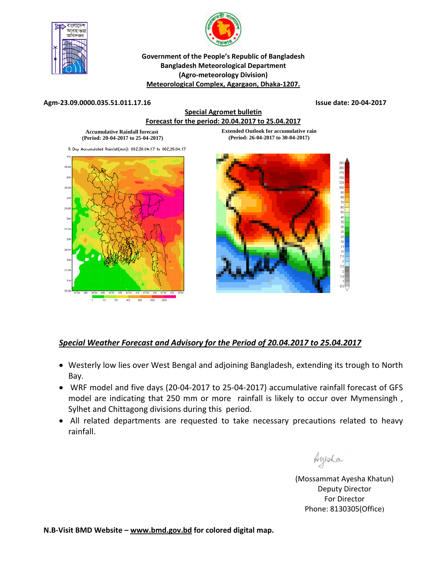



**Government of the People's Republic of Bangladesh Bangladesh Meteorological Department (Agro‐meteorology Division) Meteorological Complex, Agargaon, Dhaka‐1207.** 

## **Agm‐23.09.0000.035.51.011.17.16 Issue date: 20‐04‐2017**

## **Special Agromet bulletin Forecast for the period: 20.04.2017 to 25.04.2017**

**Accumulative Rainfall forecast (Period: 20-04-2017 to 25-04-2017)**  **Extended Outlook for accumulative rain (Period: 26-04-2017 to 30-04-2017)** 

5 Day Accumulated Rainfall(mm): 002,20.04.17 to 002,25.04.17





## *Special Weather Forecast and Advisory for the Period of 20.04.2017 to 25.04.2017*

- Westerly low lies over West Bengal and adjoining Bangladesh, extending its trough to North Bay.
- WRF model and five days (20‐04‐2017 to 25‐04‐2017) accumulative rainfall forecast of GFS model are indicating that 250 mm or more rainfall is likely to occur over Mymensingh, Sylhet and Chittagong divisions during this period.
- All related departments are requested to take necessary precautions related to heavy rainfall.

<u> Sup</u>

(Mossammat Ayesha Khatun) Deputy Director For Director Phone: 8130305(Office)

**N.B‐Visit BMD Website – www.bmd.gov.bd for colored digital map.**